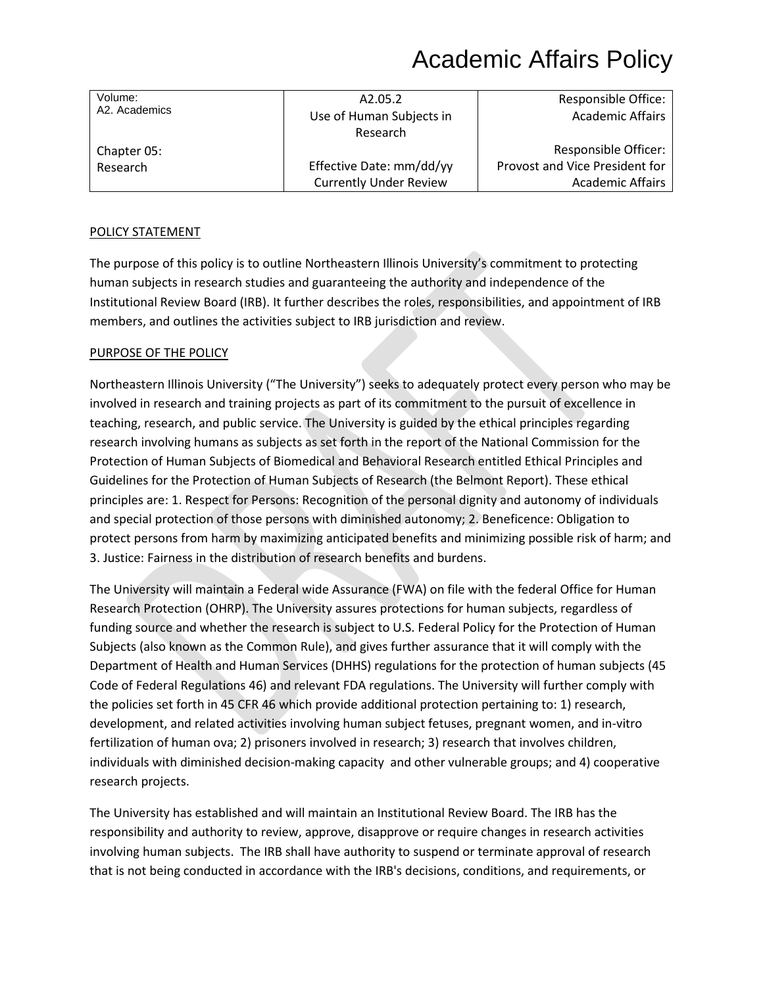| Volume:<br>A2. Academics | A2.05.2                       | <b>Responsible Office:</b>     |
|--------------------------|-------------------------------|--------------------------------|
|                          | Use of Human Subjects in      | <b>Academic Affairs</b>        |
|                          | Research                      |                                |
| Chapter 05:              |                               | Responsible Officer:           |
| Research                 | Effective Date: mm/dd/yy      | Provost and Vice President for |
|                          | <b>Currently Under Review</b> | <b>Academic Affairs</b>        |

### POLICY STATEMENT

The purpose of this policy is to outline Northeastern Illinois University's commitment to protecting human subjects in research studies and guaranteeing the authority and independence of the Institutional Review Board (IRB). It further describes the roles, responsibilities, and appointment of IRB members, and outlines the activities subject to IRB jurisdiction and review.

#### PURPOSE OF THE POLICY

Northeastern Illinois University ("The University") seeks to adequately protect every person who may be involved in research and training projects as part of its commitment to the pursuit of excellence in teaching, research, and public service. The University is guided by the ethical principles regarding research involving humans as subjects as set forth in the report of the National Commission for the Protection of Human Subjects of Biomedical and Behavioral Research entitled Ethical Principles and Guidelines for the Protection of Human Subjects of Research (the Belmont Report). These ethical principles are: 1. Respect for Persons: Recognition of the personal dignity and autonomy of individuals and special protection of those persons with diminished autonomy; 2. Beneficence: Obligation to protect persons from harm by maximizing anticipated benefits and minimizing possible risk of harm; and 3. Justice: Fairness in the distribution of research benefits and burdens.

The University will maintain a Federal wide Assurance (FWA) on file with the federal Office for Human Research Protection (OHRP). The University assures protections for human subjects, regardless of funding source and whether the research is subject to U.S. Federal Policy for the Protection of Human Subjects (also known as the Common Rule), and gives further assurance that it will comply with the Department of Health and Human Services (DHHS) regulations for the protection of human subjects (45 Code of Federal Regulations 46) and relevant FDA regulations. The University will further comply with the policies set forth in 45 CFR 46 which provide additional protection pertaining to: 1) research, development, and related activities involving human subject fetuses, pregnant women, and in-vitro fertilization of human ova; 2) prisoners involved in research; 3) research that involves children, individuals with diminished decision-making capacity and other vulnerable groups; and 4) cooperative research projects.

The University has established and will maintain an Institutional Review Board. The IRB has the responsibility and authority to review, approve, disapprove or require changes in research activities involving human subjects. The IRB shall have authority to suspend or terminate approval of research that is not being conducted in accordance with the IRB's decisions, conditions, and requirements, or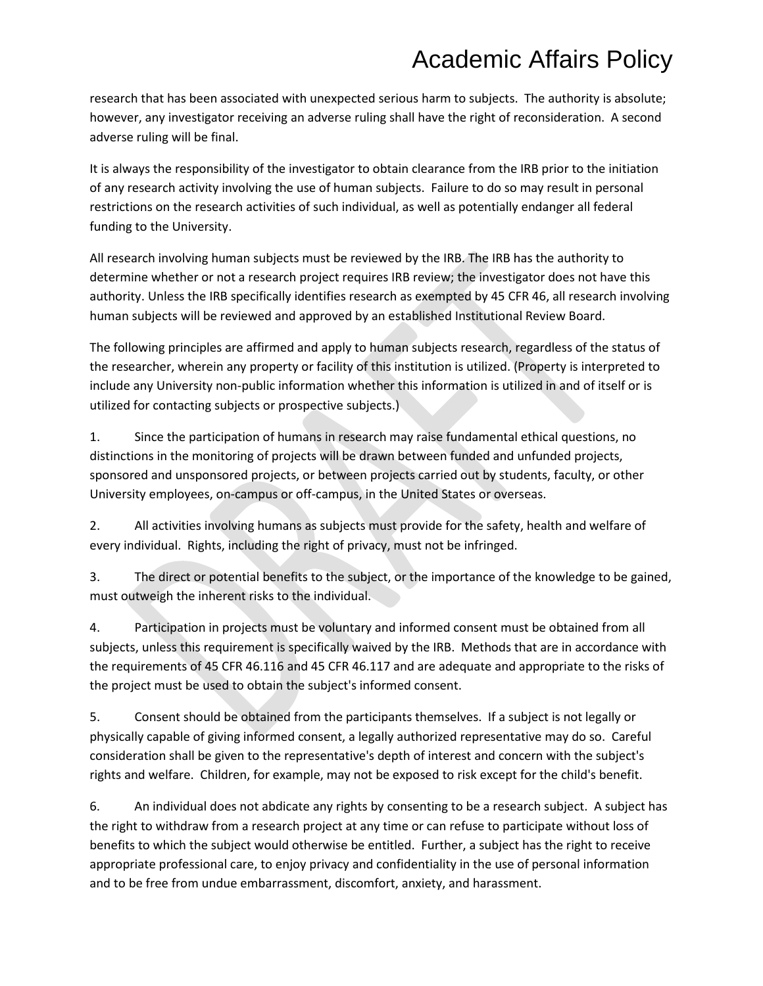research that has been associated with unexpected serious harm to subjects. The authority is absolute; however, any investigator receiving an adverse ruling shall have the right of reconsideration. A second adverse ruling will be final.

It is always the responsibility of the investigator to obtain clearance from the IRB prior to the initiation of any research activity involving the use of human subjects. Failure to do so may result in personal restrictions on the research activities of such individual, as well as potentially endanger all federal funding to the University.

All research involving human subjects must be reviewed by the IRB. The IRB has the authority to determine whether or not a research project requires IRB review; the investigator does not have this authority. Unless the IRB specifically identifies research as exempted by 45 CFR 46, all research involving human subjects will be reviewed and approved by an established Institutional Review Board.

The following principles are affirmed and apply to human subjects research, regardless of the status of the researcher, wherein any property or facility of this institution is utilized. (Property is interpreted to include any University non-public information whether this information is utilized in and of itself or is utilized for contacting subjects or prospective subjects.)

1. Since the participation of humans in research may raise fundamental ethical questions, no distinctions in the monitoring of projects will be drawn between funded and unfunded projects, sponsored and unsponsored projects, or between projects carried out by students, faculty, or other University employees, on-campus or off-campus, in the United States or overseas.

2. All activities involving humans as subjects must provide for the safety, health and welfare of every individual. Rights, including the right of privacy, must not be infringed.

3. The direct or potential benefits to the subject, or the importance of the knowledge to be gained, must outweigh the inherent risks to the individual.

4. Participation in projects must be voluntary and informed consent must be obtained from all subjects, unless this requirement is specifically waived by the IRB. Methods that are in accordance with the requirements of 45 CFR 46.116 and 45 CFR 46.117 and are adequate and appropriate to the risks of the project must be used to obtain the subject's informed consent.

5. Consent should be obtained from the participants themselves. If a subject is not legally or physically capable of giving informed consent, a legally authorized representative may do so. Careful consideration shall be given to the representative's depth of interest and concern with the subject's rights and welfare. Children, for example, may not be exposed to risk except for the child's benefit.

6. An individual does not abdicate any rights by consenting to be a research subject. A subject has the right to withdraw from a research project at any time or can refuse to participate without loss of benefits to which the subject would otherwise be entitled. Further, a subject has the right to receive appropriate professional care, to enjoy privacy and confidentiality in the use of personal information and to be free from undue embarrassment, discomfort, anxiety, and harassment.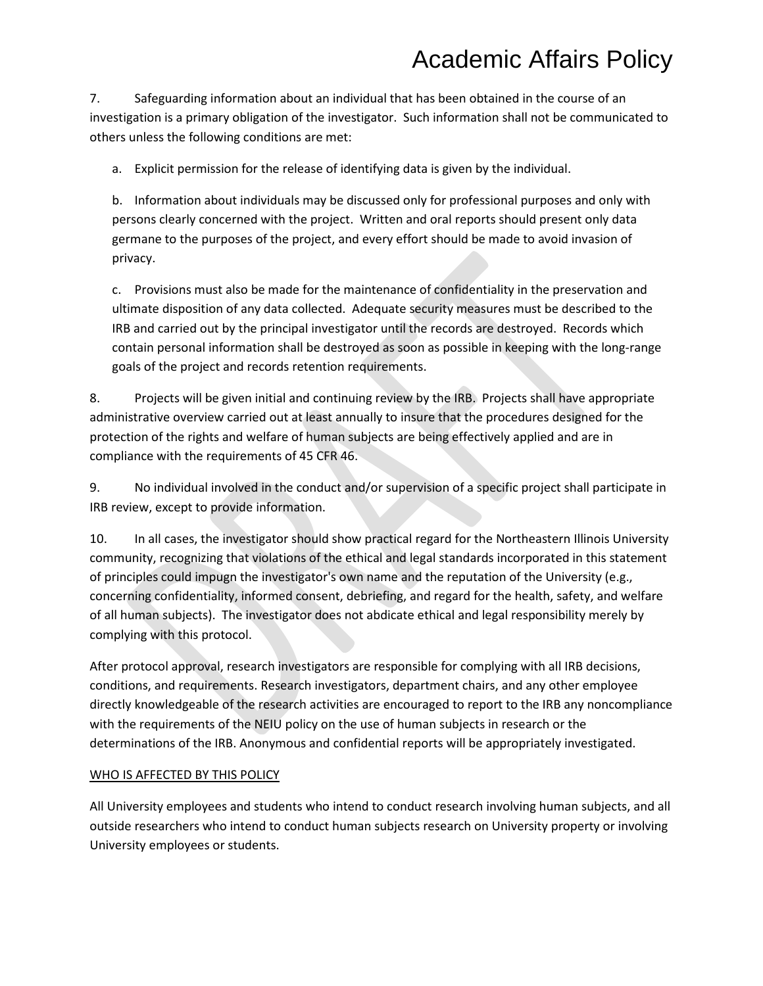7. Safeguarding information about an individual that has been obtained in the course of an investigation is a primary obligation of the investigator. Such information shall not be communicated to others unless the following conditions are met:

a. Explicit permission for the release of identifying data is given by the individual.

b. Information about individuals may be discussed only for professional purposes and only with persons clearly concerned with the project. Written and oral reports should present only data germane to the purposes of the project, and every effort should be made to avoid invasion of privacy.

c. Provisions must also be made for the maintenance of confidentiality in the preservation and ultimate disposition of any data collected. Adequate security measures must be described to the IRB and carried out by the principal investigator until the records are destroyed. Records which contain personal information shall be destroyed as soon as possible in keeping with the long-range goals of the project and records retention requirements.

8. Projects will be given initial and continuing review by the IRB. Projects shall have appropriate administrative overview carried out at least annually to insure that the procedures designed for the protection of the rights and welfare of human subjects are being effectively applied and are in compliance with the requirements of 45 CFR 46.

9. No individual involved in the conduct and/or supervision of a specific project shall participate in IRB review, except to provide information.

10. In all cases, the investigator should show practical regard for the Northeastern Illinois University community, recognizing that violations of the ethical and legal standards incorporated in this statement of principles could impugn the investigator's own name and the reputation of the University (e.g., concerning confidentiality, informed consent, debriefing, and regard for the health, safety, and welfare of all human subjects). The investigator does not abdicate ethical and legal responsibility merely by complying with this protocol.

After protocol approval, research investigators are responsible for complying with all IRB decisions, conditions, and requirements. Research investigators, department chairs, and any other employee directly knowledgeable of the research activities are encouraged to report to the IRB any noncompliance with the requirements of the NEIU policy on the use of human subjects in research or the determinations of the IRB. Anonymous and confidential reports will be appropriately investigated.

### WHO IS AFFECTED BY THIS POLICY

All University employees and students who intend to conduct research involving human subjects, and all outside researchers who intend to conduct human subjects research on University property or involving University employees or students.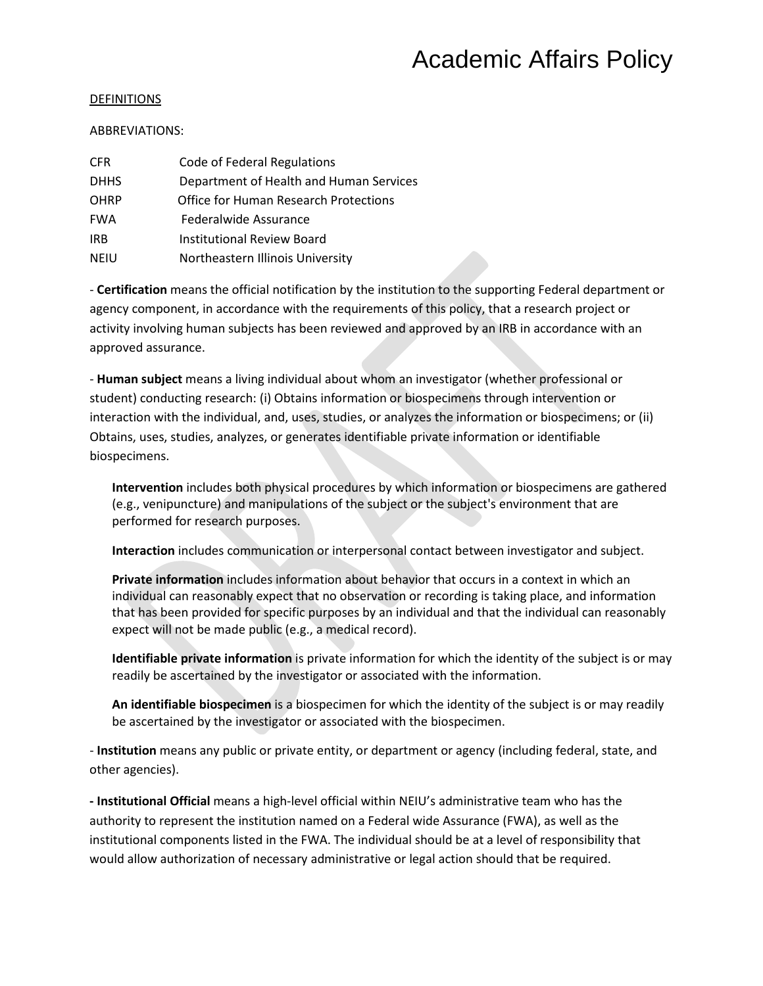#### DEFINITIONS

#### ABBREVIATIONS:

| <b>CFR</b>  | Code of Federal Regulations                  |
|-------------|----------------------------------------------|
| <b>DHHS</b> | Department of Health and Human Services      |
| <b>OHRP</b> | <b>Office for Human Research Protections</b> |
| <b>FWA</b>  | Federalwide Assurance                        |
| <b>IRB</b>  | <b>Institutional Review Board</b>            |
| <b>NEIU</b> | Northeastern Illinois University             |

- **Certification** means the official notification by the institution to the supporting Federal department or agency component, in accordance with the requirements of this policy, that a research project or activity involving human subjects has been reviewed and approved by an IRB in accordance with an approved assurance.

- **Human subject** means a living individual about whom an investigator (whether professional or student) conducting research: (i) Obtains information or biospecimens through intervention or interaction with the individual, and, uses, studies, or analyzes the information or biospecimens; or (ii) Obtains, uses, studies, analyzes, or generates identifiable private information or identifiable biospecimens.

**Intervention** includes both physical procedures by which information or biospecimens are gathered (e.g., venipuncture) and manipulations of the subject or the subject's environment that are performed for research purposes.

**Interaction** includes communication or interpersonal contact between investigator and subject.

**Private information** includes information about behavior that occurs in a context in which an individual can reasonably expect that no observation or recording is taking place, and information that has been provided for specific purposes by an individual and that the individual can reasonably expect will not be made public (e.g., a medical record).

**Identifiable private information** is private information for which the identity of the subject is or may readily be ascertained by the investigator or associated with the information.

**An identifiable biospecimen** is a biospecimen for which the identity of the subject is or may readily be ascertained by the investigator or associated with the biospecimen.

- **Institution** means any public or private entity, or department or agency (including federal, state, and other agencies).

**- Institutional Official** means a high-level official within NEIU's administrative team who has the authority to represent the institution named on a Federal wide Assurance (FWA), as well as the institutional components listed in the FWA. The individual should be at a level of responsibility that would allow authorization of necessary administrative or legal action should that be required.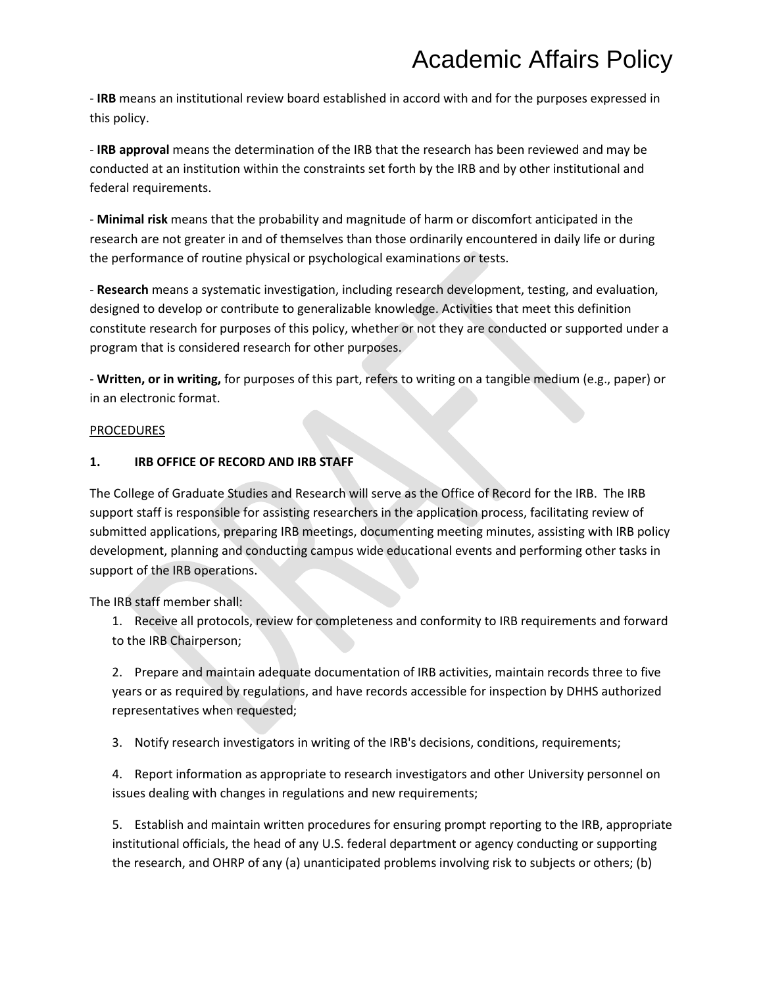- **IRB** means an institutional review board established in accord with and for the purposes expressed in this policy.

- **IRB approval** means the determination of the IRB that the research has been reviewed and may be conducted at an institution within the constraints set forth by the IRB and by other institutional and federal requirements.

- **Minimal risk** means that the probability and magnitude of harm or discomfort anticipated in the research are not greater in and of themselves than those ordinarily encountered in daily life or during the performance of routine physical or psychological examinations or tests.

- **Research** means a systematic investigation, including research development, testing, and evaluation, designed to develop or contribute to generalizable knowledge. Activities that meet this definition constitute research for purposes of this policy, whether or not they are conducted or supported under a program that is considered research for other purposes.

- **Written, or in writing,** for purposes of this part, refers to writing on a tangible medium (e.g., paper) or in an electronic format.

#### PROCEDURES

### **1. IRB OFFICE OF RECORD AND IRB STAFF**

The College of Graduate Studies and Research will serve as the Office of Record for the IRB. The IRB support staff is responsible for assisting researchers in the application process, facilitating review of submitted applications, preparing IRB meetings, documenting meeting minutes, assisting with IRB policy development, planning and conducting campus wide educational events and performing other tasks in support of the IRB operations.

The IRB staff member shall:

1. Receive all protocols, review for completeness and conformity to IRB requirements and forward to the IRB Chairperson;

2. Prepare and maintain adequate documentation of IRB activities, maintain records three to five years or as required by regulations, and have records accessible for inspection by DHHS authorized representatives when requested;

3. Notify research investigators in writing of the IRB's decisions, conditions, requirements;

4. Report information as appropriate to research investigators and other University personnel on issues dealing with changes in regulations and new requirements;

5. Establish and maintain written procedures for ensuring prompt reporting to the IRB, appropriate institutional officials, the head of any U.S. federal department or agency conducting or supporting the research, and OHRP of any (a) unanticipated problems involving risk to subjects or others; (b)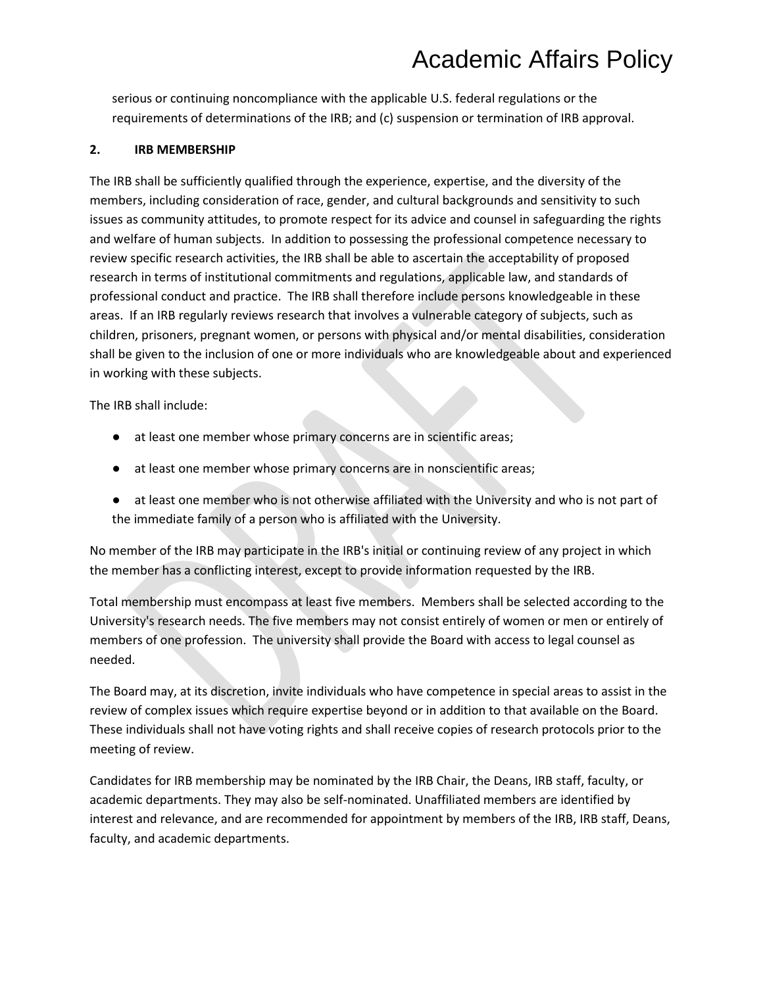serious or continuing noncompliance with the applicable U.S. federal regulations or the requirements of determinations of the IRB; and (c) suspension or termination of IRB approval.

### **2. IRB MEMBERSHIP**

The IRB shall be sufficiently qualified through the experience, expertise, and the diversity of the members, including consideration of race, gender, and cultural backgrounds and sensitivity to such issues as community attitudes, to promote respect for its advice and counsel in safeguarding the rights and welfare of human subjects. In addition to possessing the professional competence necessary to review specific research activities, the IRB shall be able to ascertain the acceptability of proposed research in terms of institutional commitments and regulations, applicable law, and standards of professional conduct and practice. The IRB shall therefore include persons knowledgeable in these areas. If an IRB regularly reviews research that involves a vulnerable category of subjects, such as children, prisoners, pregnant women, or persons with physical and/or mental disabilities, consideration shall be given to the inclusion of one or more individuals who are knowledgeable about and experienced in working with these subjects.

The IRB shall include:

- at least one member whose primary concerns are in scientific areas;
- at least one member whose primary concerns are in nonscientific areas;
- at least one member who is not otherwise affiliated with the University and who is not part of the immediate family of a person who is affiliated with the University.

No member of the IRB may participate in the IRB's initial or continuing review of any project in which the member has a conflicting interest, except to provide information requested by the IRB.

Total membership must encompass at least five members. Members shall be selected according to the University's research needs. The five members may not consist entirely of women or men or entirely of members of one profession. The university shall provide the Board with access to legal counsel as needed.

The Board may, at its discretion, invite individuals who have competence in special areas to assist in the review of complex issues which require expertise beyond or in addition to that available on the Board. These individuals shall not have voting rights and shall receive copies of research protocols prior to the meeting of review.

Candidates for IRB membership may be nominated by the IRB Chair, the Deans, IRB staff, faculty, or academic departments. They may also be self-nominated. Unaffiliated members are identified by interest and relevance, and are recommended for appointment by members of the IRB, IRB staff, Deans, faculty, and academic departments.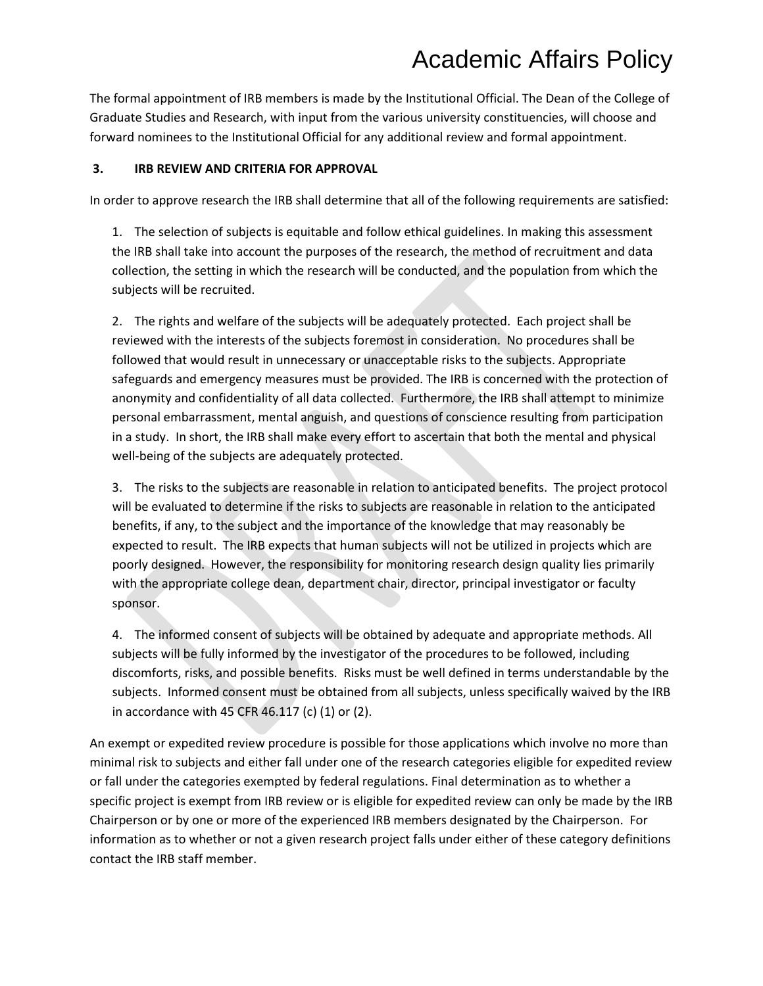The formal appointment of IRB members is made by the Institutional Official. The Dean of the College of Graduate Studies and Research, with input from the various university constituencies, will choose and forward nominees to the Institutional Official for any additional review and formal appointment.

#### **3. IRB REVIEW AND CRITERIA FOR APPROVAL**

In order to approve research the IRB shall determine that all of the following requirements are satisfied:

1. The selection of subjects is equitable and follow ethical guidelines. In making this assessment the IRB shall take into account the purposes of the research, the method of recruitment and data collection, the setting in which the research will be conducted, and the population from which the subjects will be recruited.

2. The rights and welfare of the subjects will be adequately protected. Each project shall be reviewed with the interests of the subjects foremost in consideration. No procedures shall be followed that would result in unnecessary or unacceptable risks to the subjects. Appropriate safeguards and emergency measures must be provided. The IRB is concerned with the protection of anonymity and confidentiality of all data collected. Furthermore, the IRB shall attempt to minimize personal embarrassment, mental anguish, and questions of conscience resulting from participation in a study. In short, the IRB shall make every effort to ascertain that both the mental and physical well-being of the subjects are adequately protected.

3. The risks to the subjects are reasonable in relation to anticipated benefits. The project protocol will be evaluated to determine if the risks to subjects are reasonable in relation to the anticipated benefits, if any, to the subject and the importance of the knowledge that may reasonably be expected to result. The IRB expects that human subjects will not be utilized in projects which are poorly designed. However, the responsibility for monitoring research design quality lies primarily with the appropriate college dean, department chair, director, principal investigator or faculty sponsor.

4. The informed consent of subjects will be obtained by adequate and appropriate methods. All subjects will be fully informed by the investigator of the procedures to be followed, including discomforts, risks, and possible benefits. Risks must be well defined in terms understandable by the subjects. Informed consent must be obtained from all subjects, unless specifically waived by the IRB in accordance with 45 CFR 46.117 (c) (1) or (2).

An exempt or expedited review procedure is possible for those applications which involve no more than minimal risk to subjects and either fall under one of the research categories eligible for expedited review or fall under the categories exempted by federal regulations. Final determination as to whether a specific project is exempt from IRB review or is eligible for expedited review can only be made by the IRB Chairperson or by one or more of the experienced IRB members designated by the Chairperson. For information as to whether or not a given research project falls under either of these category definitions contact the IRB staff member.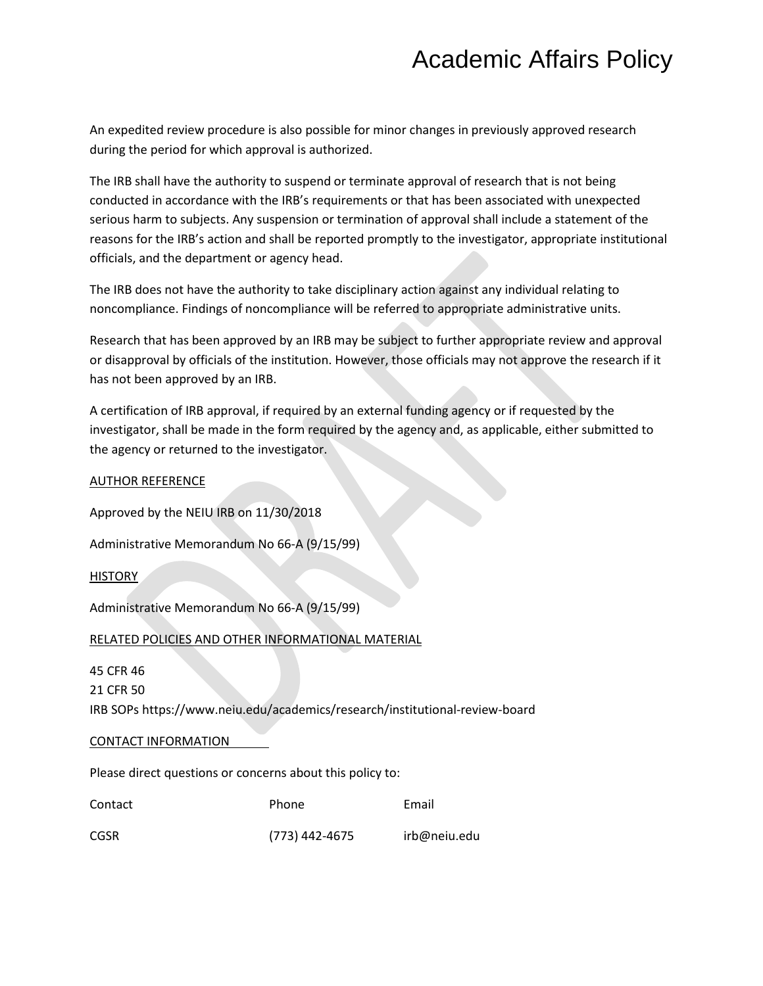An expedited review procedure is also possible for minor changes in previously approved research during the period for which approval is authorized.

The IRB shall have the authority to suspend or terminate approval of research that is not being conducted in accordance with the IRB's requirements or that has been associated with unexpected serious harm to subjects. Any suspension or termination of approval shall include a statement of the reasons for the IRB's action and shall be reported promptly to the investigator, appropriate institutional officials, and the department or agency head.

The IRB does not have the authority to take disciplinary action against any individual relating to noncompliance. Findings of noncompliance will be referred to appropriate administrative units.

Research that has been approved by an IRB may be subject to further appropriate review and approval or disapproval by officials of the institution. However, those officials may not approve the research if it has not been approved by an IRB.

A certification of IRB approval, if required by an external funding agency or if requested by the investigator, shall be made in the form required by the agency and, as applicable, either submitted to the agency or returned to the investigator.

| <b>AUTHOR REFERENCE</b>                                                     |       |       |  |  |
|-----------------------------------------------------------------------------|-------|-------|--|--|
| Approved by the NEIU IRB on 11/30/2018                                      |       |       |  |  |
| Administrative Memorandum No 66-A (9/15/99)                                 |       |       |  |  |
| <b>HISTORY</b>                                                              |       |       |  |  |
| Administrative Memorandum No 66-A (9/15/99)                                 |       |       |  |  |
| RELATED POLICIES AND OTHER INFORMATIONAL MATERIAL                           |       |       |  |  |
| 45 CFR 46                                                                   |       |       |  |  |
| 21 CFR 50                                                                   |       |       |  |  |
| IRB SOPs https://www.neiu.edu/academics/research/institutional-review-board |       |       |  |  |
| CONTACT INFORMATION                                                         |       |       |  |  |
| Please direct questions or concerns about this policy to:                   |       |       |  |  |
| Contact                                                                     | Phone | Email |  |  |

CGSR (773) 442-4675 irb@neiu.edu